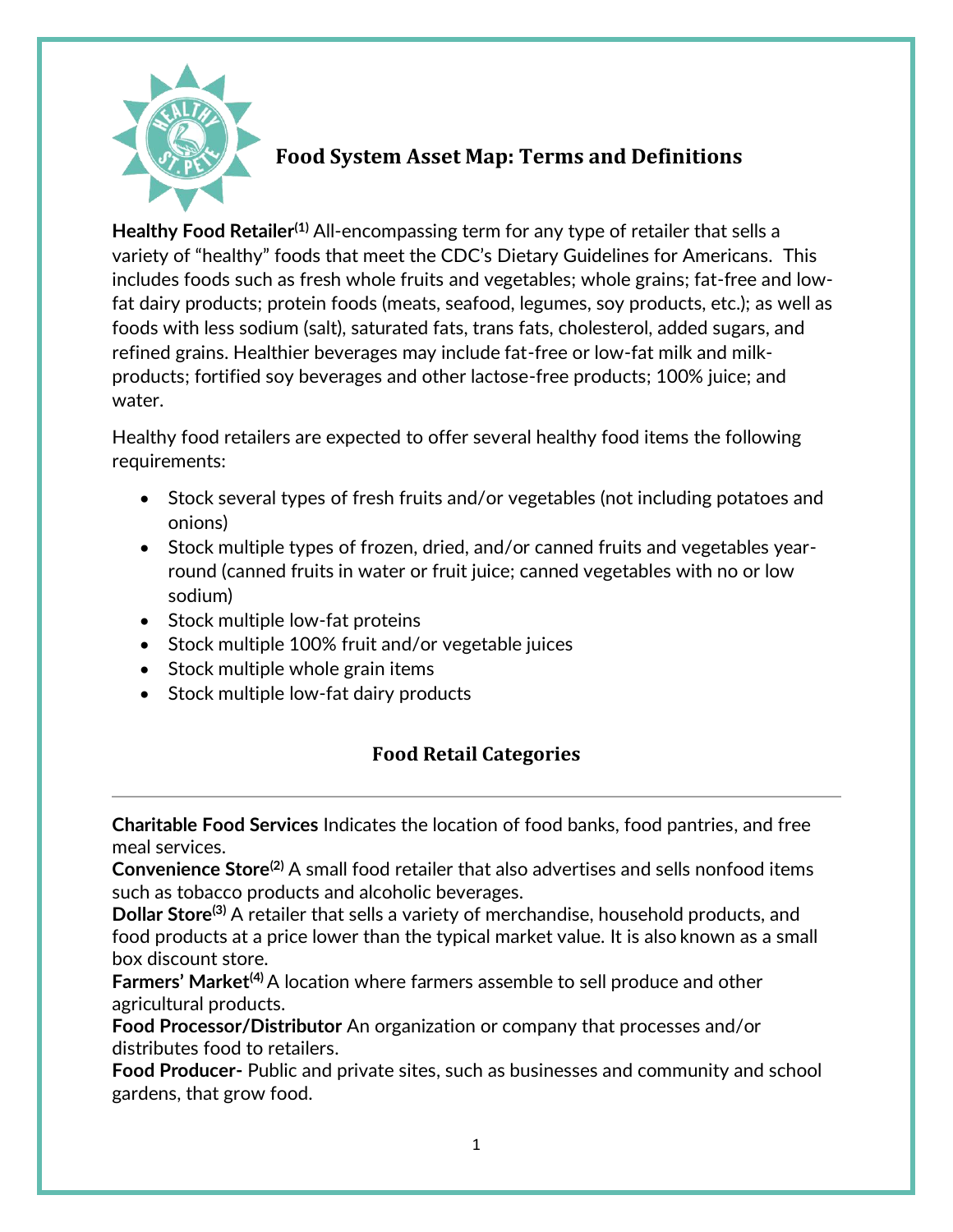

# **Food System Asset Map: Terms and Definitions**

**Healthy Food Retailer(1)** All-encompassing term for any type of retailer that sells a variety of "healthy" foods that meet the CDC's Dietary Guidelines for Americans. This includes foods such as fresh whole fruits and vegetables; whole grains; fat-free and lowfat dairy products; protein foods (meats, seafood, legumes, soy products, etc.); as well as foods with less sodium (salt), saturated fats, trans fats, cholesterol, added sugars, and refined grains. Healthier beverages may include fat-free or low-fat milk and milkproducts; fortified soy beverages and other lactose-free products; 100% juice; and water.

Healthy food retailers are expected to offer several healthy food items the following requirements:

- Stock several types of fresh fruits and/or vegetables (not including potatoes and onions)
- Stock multiple types of frozen, dried, and/or canned fruits and vegetables yearround (canned fruits in water or fruit juice; canned vegetables with no or low sodium)
- Stock multiple low-fat proteins
- Stock multiple 100% fruit and/or vegetable juices
- Stock multiple whole grain items
- Stock multiple low-fat dairy products

## **Food Retail Categories**

**Charitable Food Services** Indicates the location of food banks, food pantries, and free meal services.

**Convenience Store(2)** A small food retailer that also advertises and sells nonfood items such as tobacco products and alcoholic beverages.

**Dollar Store(3)** A retailer that sells a variety of merchandise, household products, and food products at a price lower than the typical market value. It is also known as a small box discount store.

**Farmers' Market(4)** A location where farmers assemble to sell produce and other agricultural products.

**Food Processor/Distributor** An organization or company that processes and/or distributes food to retailers.

**Food Producer-** Public and private sites, such as businesses and community and school gardens, that grow food.